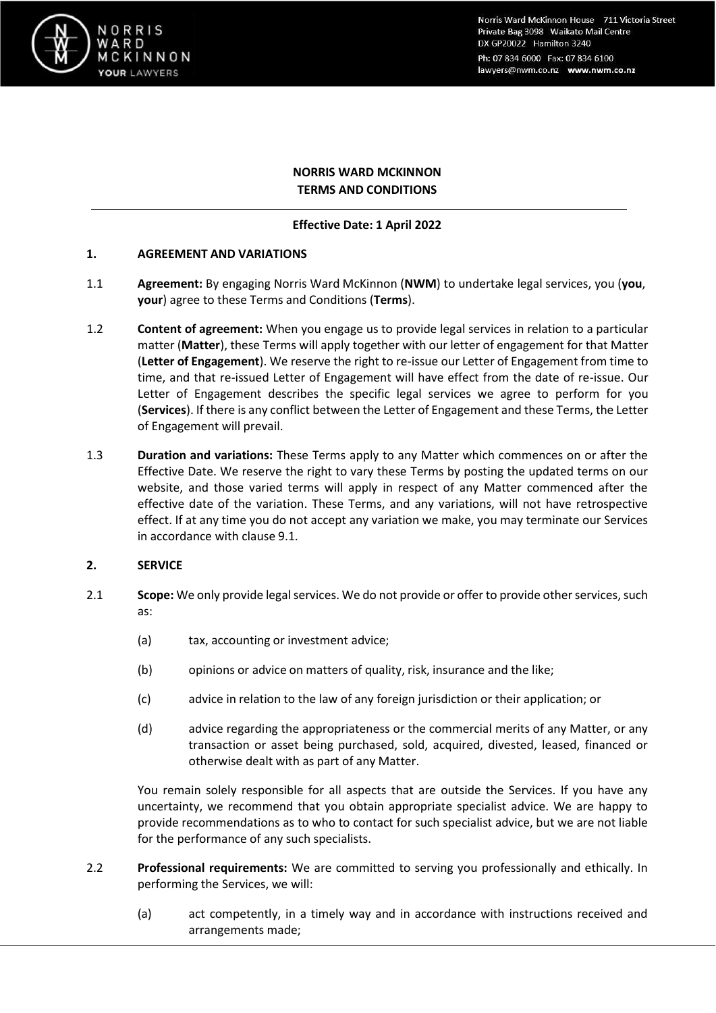

Norris Ward McKinnon House 711 Victoria Street Private Bag 3098 Waikato Mail Centre DX GP20022 Hamilton 3240 Ph: 07 834 6000 Fax: 07 834 6100 lawyers@nwm.co.nz www.nwm.co.nz

# **NORRIS WARD MCKINNON TERMS AND CONDITIONS**

## **Effective Date: 1 April 2022**

## **1. AGREEMENT AND VARIATIONS**

- 1.1 **Agreement:** By engaging Norris Ward McKinnon (**NWM**) to undertake legal services, you (**you**, **your**) agree to these Terms and Conditions (**Terms**).
- 1.2 **Content of agreement:** When you engage us to provide legal services in relation to a particular matter (**Matter**), these Terms will apply together with our letter of engagement for that Matter (**Letter of Engagement**). We reserve the right to re-issue our Letter of Engagement from time to time, and that re-issued Letter of Engagement will have effect from the date of re-issue. Our Letter of Engagement describes the specific legal services we agree to perform for you (**Services**). If there is any conflict between the Letter of Engagement and these Terms, the Letter of Engagement will prevail.
- 1.3 **Duration and variations:** These Terms apply to any Matter which commences on or after the Effective Date. We reserve the right to vary these Terms by posting the updated terms on our website, and those varied terms will apply in respect of any Matter commenced after the effective date of the variation. These Terms, and any variations, will not have retrospective effect. If at any time you do not accept any variation we make, you may terminate our Services in accordance with clause [9.1.](#page-6-0)

## **2. SERVICE**

- 2.1 **Scope:** We only provide legal services. We do not provide or offer to provide other services, such as:
	- (a) tax, accounting or investment advice;
	- (b) opinions or advice on matters of quality, risk, insurance and the like;
	- (c) advice in relation to the law of any foreign jurisdiction or their application; or
	- (d) advice regarding the appropriateness or the commercial merits of any Matter, or any transaction or asset being purchased, sold, acquired, divested, leased, financed or otherwise dealt with as part of any Matter.

You remain solely responsible for all aspects that are outside the Services. If you have any uncertainty, we recommend that you obtain appropriate specialist advice. We are happy to provide recommendations as to who to contact for such specialist advice, but we are not liable for the performance of any such specialists.

- 2.2 **Professional requirements:** We are committed to serving you professionally and ethically. In performing the Services, we will:
	- (a) act competently, in a timely way and in accordance with instructions received and arrangements made;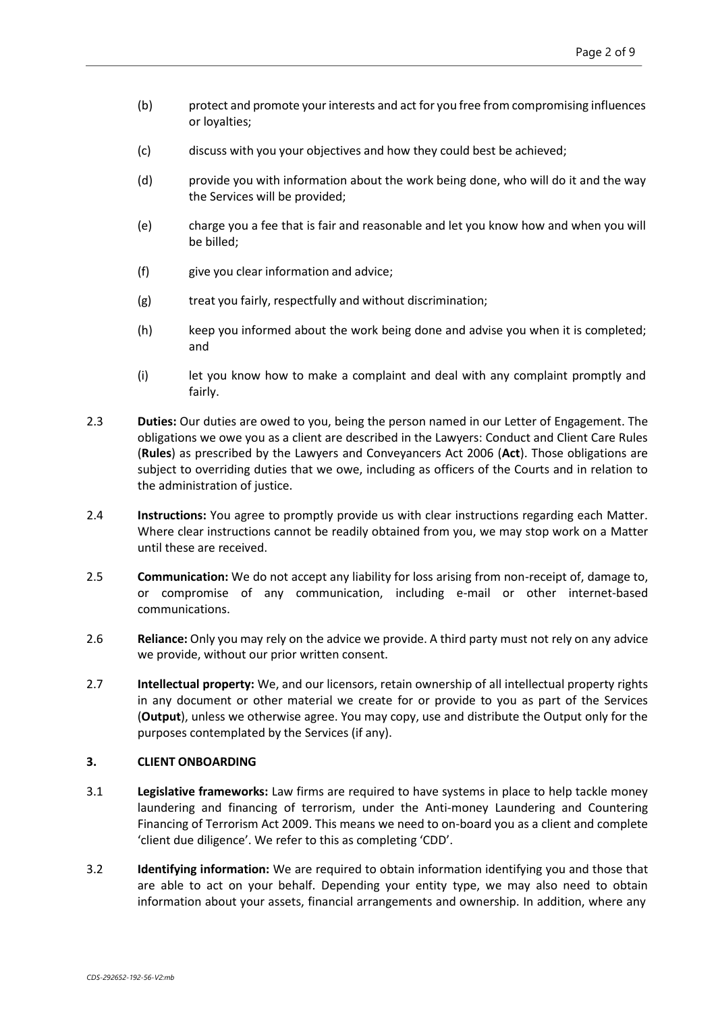- (b) protect and promote yourinterests and act for you free from compromising influences or loyalties;
- (c) discuss with you your objectives and how they could best be achieved;
- (d) provide you with information about the work being done, who will do it and the way the Services will be provided;
- (e) charge you a fee that is fair and reasonable and let you know how and when you will be billed;
- (f) give you clear information and advice;
- (g) treat you fairly, respectfully and without discrimination;
- (h) keep you informed about the work being done and advise you when it is completed; and
- (i) let you know how to make a complaint and deal with any complaint promptly and fairly.
- 2.3 **Duties:** Our duties are owed to you, being the person named in our Letter of Engagement. The obligations we owe you as a client are described in the Lawyers: Conduct and Client Care Rules (**Rules**) as prescribed by the Lawyers and Conveyancers Act 2006 (**Act**). Those obligations are subject to overriding duties that we owe, including as officers of the Courts and in relation to the administration of justice.
- 2.4 **Instructions:** You agree to promptly provide us with clear instructions regarding each Matter. Where clear instructions cannot be readily obtained from you, we may stop work on a Matter until these are received.
- 2.5 **Communication:** We do not accept any liability for loss arising from non-receipt of, damage to, or compromise of any communication, including e-mail or other internet-based communications.
- 2.6 **Reliance:** Only you may rely on the advice we provide. A third party must not rely on any advice we provide, without our prior written consent.
- 2.7 **Intellectual property:** We, and our licensors, retain ownership of all intellectual property rights in any document or other material we create for or provide to you as part of the Services (**Output**), unless we otherwise agree. You may copy, use and distribute the Output only for the purposes contemplated by the Services (if any).

#### **3. CLIENT ONBOARDING**

- 3.1 **Legislative frameworks:** Law firms are required to have systems in place to help tackle money laundering and financing of terrorism, under the Anti-money Laundering and Countering Financing of Terrorism Act 2009. This means we need to on-board you as a client and complete 'client due diligence'. We refer to this as completing 'CDD'.
- 3.2 **Identifying information:** We are required to obtain information identifying you and those that are able to act on your behalf. Depending your entity type, we may also need to obtain information about your assets, financial arrangements and ownership. In addition, where any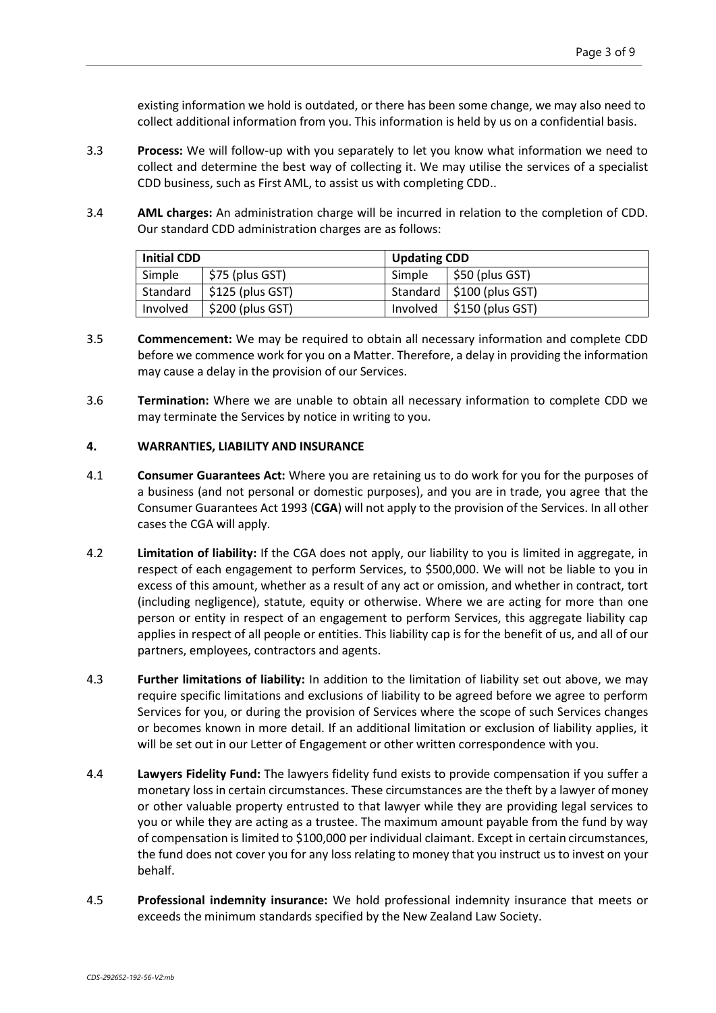existing information we hold is outdated, or there has been some change, we may also need to collect additional information from you. This information is held by us on a confidential basis.

- 3.3 **Process:** We will follow-up with you separately to let you know what information we need to collect and determine the best way of collecting it. We may utilise the services of a specialist CDD business, such as First AML, to assist us with completing CDD..
- 3.4 **AML charges:** An administration charge will be incurred in relation to the completion of CDD. Our standard CDD administration charges are as follows:

| <b>Initial CDD</b> |                   | <b>Updating CDD</b> |                                         |
|--------------------|-------------------|---------------------|-----------------------------------------|
| Simple             | \$75 (plus GST)   | Simple              | $\vert$ \$50 (plus GST)                 |
| Standard           | $$125$ (plus GST) |                     | Standard   \$100 (plus GST)             |
| Involved           | $$200$ (plus GST) |                     | Involved $\frac{1}{2}$ \$150 (plus GST) |

- 3.5 **Commencement:** We may be required to obtain all necessary information and complete CDD before we commence work for you on a Matter. Therefore, a delay in providing the information may cause a delay in the provision of our Services.
- 3.6 **Termination:** Where we are unable to obtain all necessary information to complete CDD we may terminate the Services by notice in writing to you.

## **4. WARRANTIES, LIABILITY AND INSURANCE**

- 4.1 **Consumer Guarantees Act:** Where you are retaining us to do work for you for the purposes of a business (and not personal or domestic purposes), and you are in trade, you agree that the Consumer Guarantees Act 1993 (**CGA**) will not apply to the provision of the Services. In all other cases the CGA will apply.
- 4.2 **Limitation of liability:** If the CGA does not apply, our liability to you is limited in aggregate, in respect of each engagement to perform Services, to \$500,000. We will not be liable to you in excess of this amount, whether as a result of any act or omission, and whether in contract, tort (including negligence), statute, equity or otherwise. Where we are acting for more than one person or entity in respect of an engagement to perform Services, this aggregate liability cap applies in respect of all people or entities. This liability cap is for the benefit of us, and all of our partners, employees, contractors and agents.
- 4.3 **Further limitations of liability:** In addition to the limitation of liability set out above, we may require specific limitations and exclusions of liability to be agreed before we agree to perform Services for you, or during the provision of Services where the scope of such Services changes or becomes known in more detail. If an additional limitation or exclusion of liability applies, it will be set out in our Letter of Engagement or other written correspondence with you.
- 4.4 **Lawyers Fidelity Fund:** The lawyers fidelity fund exists to provide compensation if you suffer a monetary loss in certain circumstances. These circumstances are the theft by a lawyer of money or other valuable property entrusted to that lawyer while they are providing legal services to you or while they are acting as a trustee. The maximum amount payable from the fund by way of compensation is limited to \$100,000 per individual claimant. Except in certain circumstances, the fund does not cover you for any loss relating to money that you instruct us to invest on your behalf.
- 4.5 **Professional indemnity insurance:** We hold professional indemnity insurance that meets or exceeds the minimum standards specified by the New Zealand Law Society.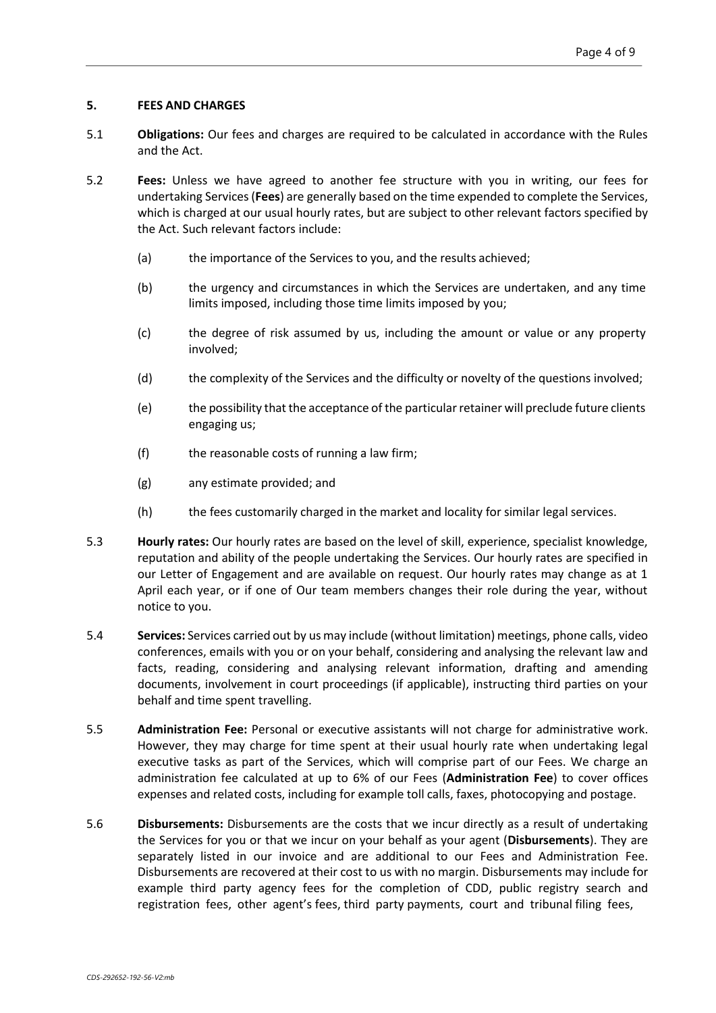## **5. FEES AND CHARGES**

- 5.1 **Obligations:** Our fees and charges are required to be calculated in accordance with the Rules and the Act.
- 5.2 **Fees:** Unless we have agreed to another fee structure with you in writing, our fees for undertaking Services(**Fees**) are generally based on the time expended to complete the Services, which is charged at our usual hourly rates, but are subject to other relevant factors specified by the Act. Such relevant factors include:
	- (a) the importance of the Services to you, and the results achieved;
	- (b) the urgency and circumstances in which the Services are undertaken, and any time limits imposed, including those time limits imposed by you;
	- (c) the degree of risk assumed by us, including the amount or value or any property involved;
	- (d) the complexity of the Services and the difficulty or novelty of the questions involved;
	- (e) the possibility that the acceptance of the particularretainer will preclude future clients engaging us;
	- (f) the reasonable costs of running a law firm;
	- (g) any estimate provided; and
	- (h) the fees customarily charged in the market and locality for similar legal services.
- 5.3 **Hourly rates:** Our hourly rates are based on the level of skill, experience, specialist knowledge, reputation and ability of the people undertaking the Services. Our hourly rates are specified in our Letter of Engagement and are available on request. Our hourly rates may change as at 1 April each year, or if one of Our team members changes their role during the year, without notice to you.
- 5.4 **Services:** Services carried out by us may include (without limitation) meetings, phone calls, video conferences, emails with you or on your behalf, considering and analysing the relevant law and facts, reading, considering and analysing relevant information, drafting and amending documents, involvement in court proceedings (if applicable), instructing third parties on your behalf and time spent travelling.
- 5.5 **Administration Fee:** Personal or executive assistants will not charge for administrative work. However, they may charge for time spent at their usual hourly rate when undertaking legal executive tasks as part of the Services, which will comprise part of our Fees. We charge an administration fee calculated at up to 6% of our Fees (**Administration Fee**) to cover offices expenses and related costs, including for example toll calls, faxes, photocopying and postage.
- 5.6 **Disbursements:** Disbursements are the costs that we incur directly as a result of undertaking the Services for you or that we incur on your behalf as your agent (**Disbursements**). They are separately listed in our invoice and are additional to our Fees and Administration Fee. Disbursements are recovered at their cost to us with no margin. Disbursements may include for example third party agency fees for the completion of CDD, public registry search and registration fees, other agent's fees, third party payments, court and tribunal filing fees,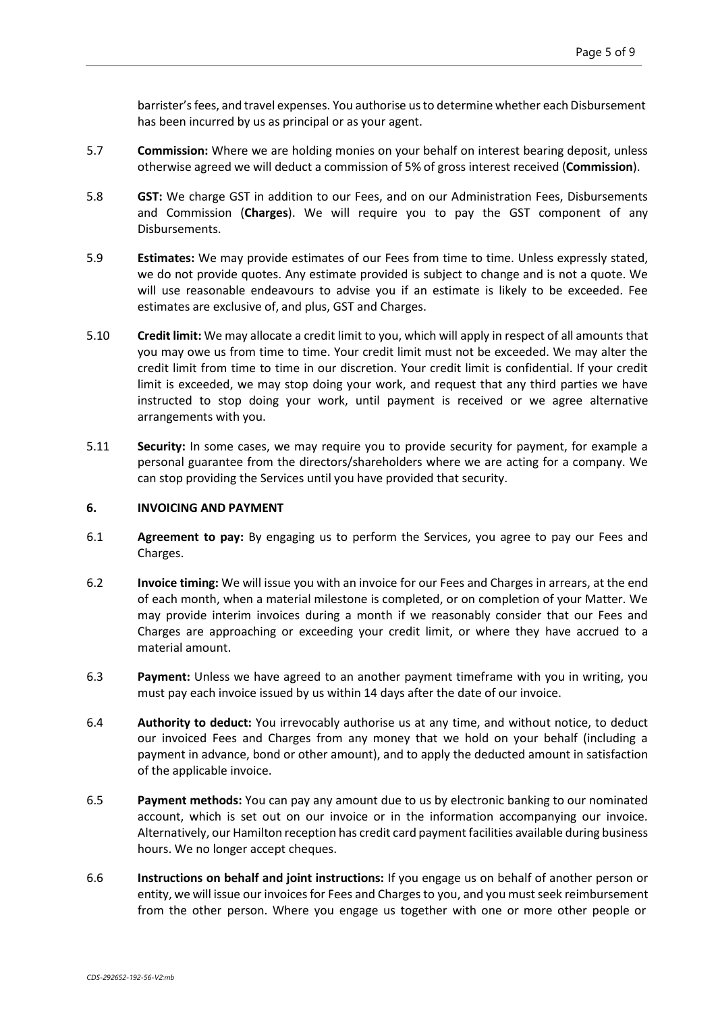barrister's fees, and travel expenses. You authorise us to determine whether each Disbursement has been incurred by us as principal or as your agent.

- 5.7 **Commission:** Where we are holding monies on your behalf on interest bearing deposit, unless otherwise agreed we will deduct a commission of 5% of gross interest received (**Commission**).
- 5.8 **GST:** We charge GST in addition to our Fees, and on our Administration Fees, Disbursements and Commission (**Charges**). We will require you to pay the GST component of any Disbursements.
- 5.9 **Estimates:** We may provide estimates of our Fees from time to time. Unless expressly stated, we do not provide quotes. Any estimate provided is subject to change and is not a quote. We will use reasonable endeavours to advise you if an estimate is likely to be exceeded. Fee estimates are exclusive of, and plus, GST and Charges.
- 5.10 **Credit limit:** We may allocate a credit limit to you, which will apply in respect of all amounts that you may owe us from time to time. Your credit limit must not be exceeded. We may alter the credit limit from time to time in our discretion. Your credit limit is confidential. If your credit limit is exceeded, we may stop doing your work, and request that any third parties we have instructed to stop doing your work, until payment is received or we agree alternative arrangements with you.
- 5.11 **Security:** In some cases, we may require you to provide security for payment, for example a personal guarantee from the directors/shareholders where we are acting for a company. We can stop providing the Services until you have provided that security.

#### <span id="page-4-1"></span>**6. INVOICING AND PAYMENT**

- 6.1 **Agreement to pay:** By engaging us to perform the Services, you agree to pay our Fees and Charges.
- 6.2 **Invoice timing:** We will issue you with an invoice for our Fees and Charges in arrears, at the end of each month, when a material milestone is completed, or on completion of your Matter. We may provide interim invoices during a month if we reasonably consider that our Fees and Charges are approaching or exceeding your credit limit, or where they have accrued to a material amount.
- 6.3 **Payment:** Unless we have agreed to an another payment timeframe with you in writing, you must pay each invoice issued by us within 14 days after the date of our invoice.
- <span id="page-4-0"></span>6.4 **Authority to deduct:** You irrevocably authorise us at any time, and without notice, to deduct our invoiced Fees and Charges from any money that we hold on your behalf (including a payment in advance, bond or other amount), and to apply the deducted amount in satisfaction of the applicable invoice.
- 6.5 **Payment methods:** You can pay any amount due to us by electronic banking to our nominated account, which is set out on our invoice or in the information accompanying our invoice. Alternatively, our Hamilton reception has credit card payment facilities available during business hours. We no longer accept cheques.
- 6.6 **Instructions on behalf and joint instructions:** If you engage us on behalf of another person or entity, we will issue our invoices for Fees and Charges to you, and you must seek reimbursement from the other person. Where you engage us together with one or more other people or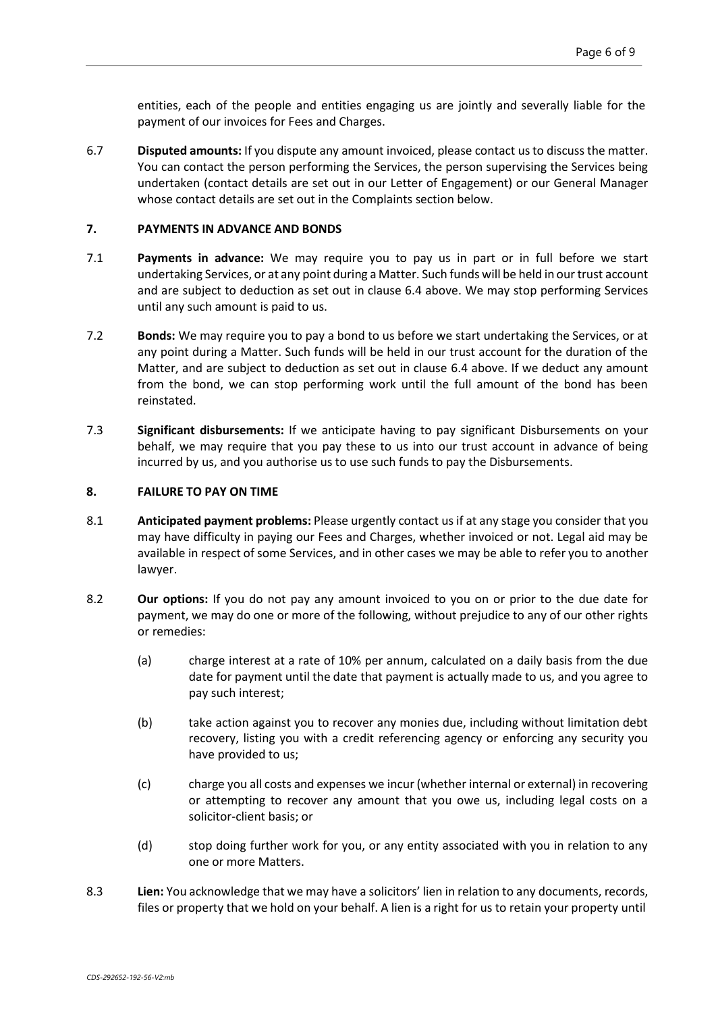entities, each of the people and entities engaging us are jointly and severally liable for the payment of our invoices for Fees and Charges.

6.7 **Disputed amounts:** If you dispute any amount invoiced, please contact usto discussthe matter. You can contact the person performing the Services, the person supervising the Services being undertaken (contact details are set out in our Letter of Engagement) or our General Manager whose contact details are set out in the Complaints section below.

### **7. PAYMENTS IN ADVANCE AND BONDS**

- 7.1 **Payments in advance:** We may require you to pay us in part or in full before we start undertaking Services, or at any point during a Matter. Such funds will be held in our trust account and are subject to deduction as set out in clause [6.4 a](#page-4-0)bove. We may stop performing Services until any such amount is paid to us.
- 7.2 **Bonds:** We may require you to pay a bond to us before we start undertaking the Services, or at any point during a Matter. Such funds will be held in our trust account for the duration of the Matter, and are subject to deduction as set out in clause [6.4 a](#page-4-0)bove. If we deduct any amount from the bond, we can stop performing work until the full amount of the bond has been reinstated.
- 7.3 **Significant disbursements:** If we anticipate having to pay significant Disbursements on your behalf, we may require that you pay these to us into our trust account in advance of being incurred by us, and you authorise us to use such funds to pay the Disbursements.

## **8. FAILURE TO PAY ON TIME**

- 8.1 **Anticipated payment problems:** Please urgently contact us if at any stage you consider that you may have difficulty in paying our Fees and Charges, whether invoiced or not. Legal aid may be available in respect of some Services, and in other cases we may be able to refer you to another lawyer.
- 8.2 **Our options:** If you do not pay any amount invoiced to you on or prior to the due date for payment, we may do one or more of the following, without prejudice to any of our other rights or remedies:
	- (a) charge interest at a rate of 10% per annum, calculated on a daily basis from the due date for payment until the date that payment is actually made to us, and you agree to pay such interest;
	- (b) take action against you to recover any monies due, including without limitation debt recovery, listing you with a credit referencing agency or enforcing any security you have provided to us;
	- (c) charge you all costs and expenses we incur (whether internal or external) in recovering or attempting to recover any amount that you owe us, including legal costs on a solicitor-client basis; or
	- (d) stop doing further work for you, or any entity associated with you in relation to any one or more Matters.
- <span id="page-5-0"></span>8.3 **Lien:** You acknowledge that we may have a solicitors' lien in relation to any documents, records, files or property that we hold on your behalf. A lien is a right for us to retain your property until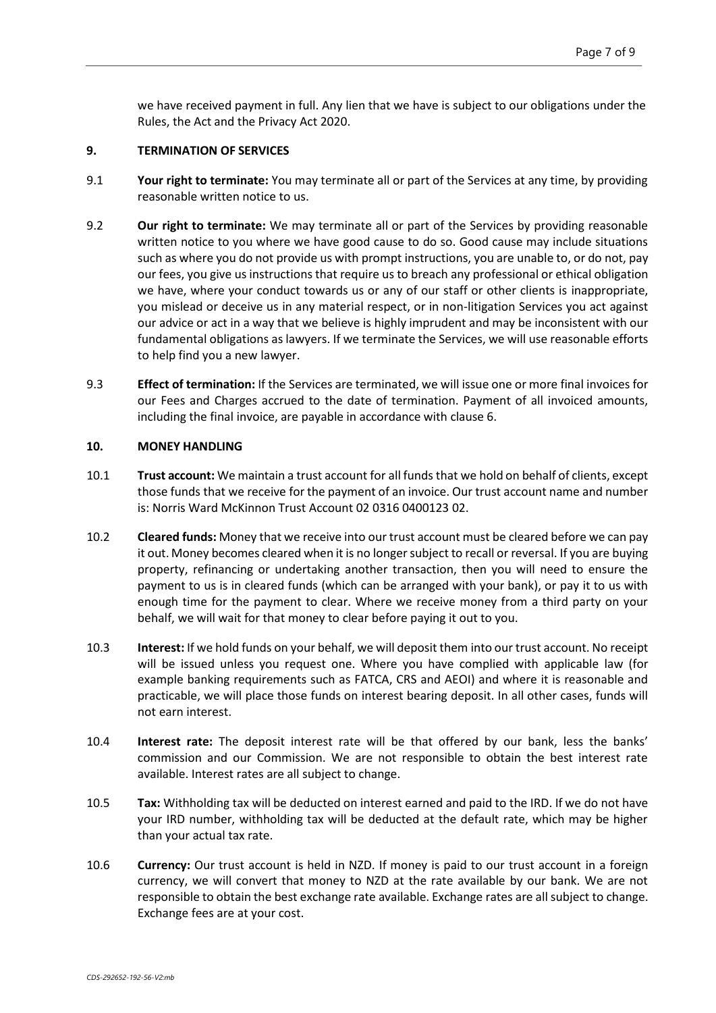we have received payment in full. Any lien that we have is subject to our obligations under the Rules, the Act and the Privacy Act 2020.

## **9. TERMINATION OF SERVICES**

- <span id="page-6-0"></span>9.1 **Your right to terminate:** You may terminate all or part of the Services at any time, by providing reasonable written notice to us.
- 9.2 **Our right to terminate:** We may terminate all or part of the Services by providing reasonable written notice to you where we have good cause to do so. Good cause may include situations such as where you do not provide us with prompt instructions, you are unable to, or do not, pay our fees, you give us instructions that require us to breach any professional or ethical obligation we have, where your conduct towards us or any of our staff or other clients is inappropriate, you mislead or deceive us in any material respect, or in non-litigation Services you act against our advice or act in a way that we believe is highly imprudent and may be inconsistent with our fundamental obligations as lawyers. If we terminate the Services, we will use reasonable efforts to help find you a new lawyer.
- 9.3 **Effect of termination:** If the Services are terminated, we will issue one or more final invoices for our Fees and Charges accrued to the date of termination. Payment of all invoiced amounts, including the final invoice, are payable in accordance with clause [6.](#page-4-1)

### **10. MONEY HANDLING**

- 10.1 **Trust account:** We maintain a trust account for all funds that we hold on behalf of clients, except those funds that we receive for the payment of an invoice. Our trust account name and number is: Norris Ward McKinnon Trust Account 02 0316 0400123 02.
- 10.2 **Cleared funds:** Money that we receive into our trust account must be cleared before we can pay it out. Money becomes cleared when it is no longersubject to recall or reversal. If you are buying property, refinancing or undertaking another transaction, then you will need to ensure the payment to us is in cleared funds (which can be arranged with your bank), or pay it to us with enough time for the payment to clear. Where we receive money from a third party on your behalf, we will wait for that money to clear before paying it out to you.
- 10.3 **Interest:** If we hold funds on your behalf, we will deposit them into our trust account. No receipt will be issued unless you request one. Where you have complied with applicable law (for example banking requirements such as FATCA, CRS and AEOI) and where it is reasonable and practicable, we will place those funds on interest bearing deposit. In all other cases, funds will not earn interest.
- 10.4 **Interest rate:** The deposit interest rate will be that offered by our bank, less the banks' commission and our Commission. We are not responsible to obtain the best interest rate available. Interest rates are all subject to change.
- 10.5 **Tax:** Withholding tax will be deducted on interest earned and paid to the IRD. If we do not have your IRD number, withholding tax will be deducted at the default rate, which may be higher than your actual tax rate.
- 10.6 **Currency:** Our trust account is held in NZD. If money is paid to our trust account in a foreign currency, we will convert that money to NZD at the rate available by our bank. We are not responsible to obtain the best exchange rate available. Exchange rates are all subject to change. Exchange fees are at your cost.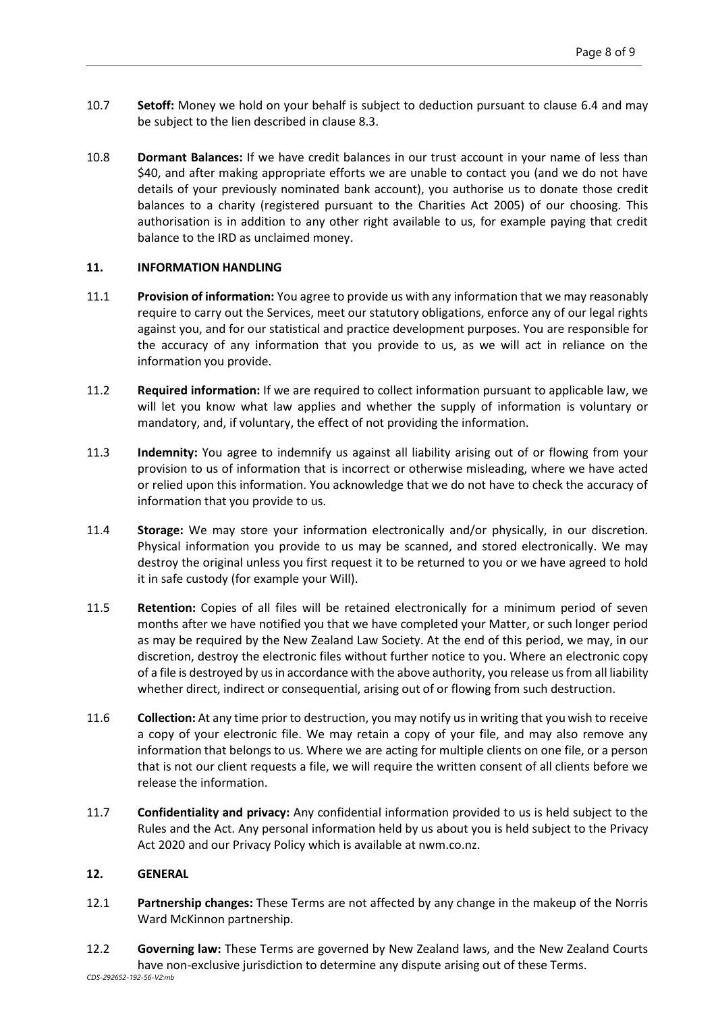- 10.7 **Setoff:** Money we hold on your behalf is subject to deduction pursuant to clause [6.4 a](#page-4-0)nd may be subject to the lien described in clause [8.3.](#page-5-0)
- 10.8 **Dormant Balances:** If we have credit balances in our trust account in your name of less than \$40, and after making appropriate efforts we are unable to contact you (and we do not have details of your previously nominated bank account), you authorise us to donate those credit balances to a charity (registered pursuant to the Charities Act 2005) of our choosing. This authorisation is in addition to any other right available to us, for example paying that credit balance to the IRD as unclaimed money.

## **11. INFORMATION HANDLING**

- 11.1 **Provision of information:** You agree to provide us with any information that we may reasonably require to carry out the Services, meet our statutory obligations, enforce any of our legal rights against you, and for our statistical and practice development purposes. You are responsible for the accuracy of any information that you provide to us, as we will act in reliance on the information you provide.
- 11.2 **Required information:** If we are required to collect information pursuant to applicable law, we will let you know what law applies and whether the supply of information is voluntary or mandatory, and, if voluntary, the effect of not providing the information.
- 11.3 **Indemnity:** You agree to indemnify us against all liability arising out of or flowing from your provision to us of information that is incorrect or otherwise misleading, where we have acted or relied upon this information. You acknowledge that we do not have to check the accuracy of information that you provide to us.
- 11.4 **Storage:** We may store your information electronically and/or physically, in our discretion. Physical information you provide to us may be scanned, and stored electronically. We may destroy the original unless you first request it to be returned to you or we have agreed to hold it in safe custody (for example your Will).
- 11.5 **Retention:** Copies of all files will be retained electronically for a minimum period of seven months after we have notified you that we have completed your Matter, or such longer period as may be required by the New Zealand Law Society. At the end of this period, we may, in our discretion, destroy the electronic files without further notice to you. Where an electronic copy of a file is destroyed by us in accordance with the above authority, you release us from all liability whether direct, indirect or consequential, arising out of or flowing from such destruction.
- 11.6 **Collection:** At any time prior to destruction, you may notify us in writing that you wish to receive a copy of your electronic file. We may retain a copy of your file, and may also remove any information that belongs to us. Where we are acting for multiple clients on one file, or a person that is not our client requests a file, we will require the written consent of all clients before we release the information.
- 11.7 **Confidentiality and privacy:** Any confidential information provided to us is held subject to the Rules and the Act. Any personal information held by us about you is held subject to the Privacy Act 2020 and our Privacy Policy which is available at nwm.co.nz.

## **12. GENERAL**

- 12.1 **Partnership changes:** These Terms are not affected by any change in the makeup of the Norris Ward McKinnon partnership.
- *CDS-292652-192-56-V2:mb* 12.2 **Governing law:** These Terms are governed by New Zealand laws, and the New Zealand Courts have non-exclusive jurisdiction to determine any dispute arising out of these Terms.